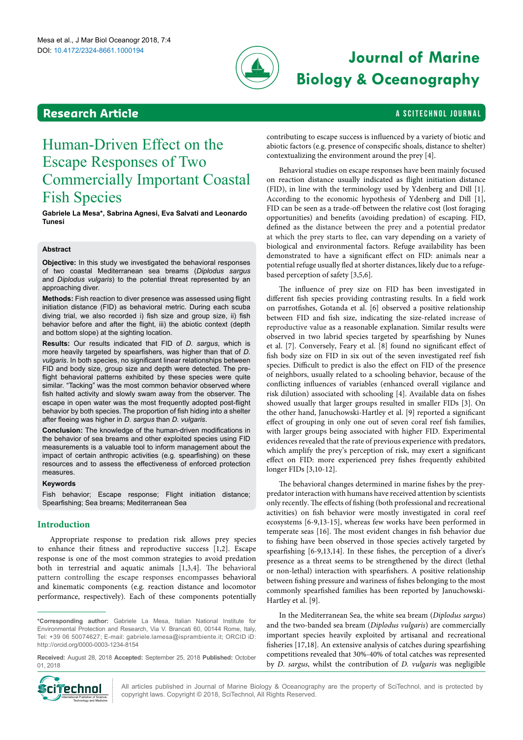

# DOI: 10.4172/2324-8661.1000194 **Journal of Marine Biology & Oceanography**

### **Research Article And Article A SCITECHNOL JOURNAL**

## Human-Driven Effect on the Escape Responses of Two Commercially Important Coastal Fish Species

**Gabriele La Mesa\*, Sabrina Agnesi, Eva Salvati and Leonardo Tunesi**

#### **Abstract**

**Objective:** In this study we investigated the behavioral responses of two coastal Mediterranean sea breams (*Diplodus sargus*  and *Diplodus vulgaris*) to the potential threat represented by an approaching diver.

**Methods:** Fish reaction to diver presence was assessed using flight initiation distance (FID) as behavioral metric. During each scuba diving trial, we also recorded i) fish size and group size, ii) fish behavior before and after the flight, iii) the abiotic context (depth and bottom slope) at the sighting location.

**Results:** Our results indicated that FID of *D. sargus*, which is more heavily targeted by spearfishers, was higher than that of *D. vulgaris*. In both species, no significant linear relationships between FID and body size, group size and depth were detected. The preflight behavioral patterns exhibited by these species were quite similar. "Tacking" was the most common behavior observed where fish halted activity and slowly swam away from the observer. The escape in open water was the most frequently adopted post-flight behavior by both species. The proportion of fish hiding into a shelter after fleeing was higher in *D. sargus* than *D. vulgaris*.

**Conclusion:** The knowledge of the human-driven modifications in the behavior of sea breams and other exploited species using FID measurements is a valuable tool to inform management about the impact of certain anthropic activities (e.g. spearfishing) on these resources and to assess the effectiveness of enforced protection measures.

#### **Keywords**

Fish behavior; Escape response; Flight initiation distance; Spearfishing; Sea breams; Mediterranean Sea

#### **Introduction**

Appropriate response to predation risk allows prey species to enhance their fitness and reproductive success [1,2]. Escape response is one of the most common strategies to avoid predation both in terrestrial and aquatic animals [1,3,4]. The behavioral pattern controlling the escape responses encompasses behavioral and kinematic components (e.g. reaction distance and locomotor performance, respectively). Each of these components potentially

**Received:** August 28, 2018 **Accepted:** September 25, 2018 **Published:** October 01, 2018



contributing to escape success is influenced by a variety of biotic and abiotic factors (e.g. presence of conspecific shoals, distance to shelter) contextualizing the environment around the prey [4].

Behavioral studies on escape responses have been mainly focused on reaction distance usually indicated as flight initiation distance (FID), in line with the terminology used by Ydenberg and Dill [1]. According to the economic hypothesis of Ydenberg and Dill [1], FID can be seen as a trade-off between the relative cost (lost foraging opportunities) and benefits (avoiding predation) of escaping. FID, defined as the distance between the prey and a potential predator at which the prey starts to flee, can vary depending on a variety of biological and environmental factors. Refuge availability has been demonstrated to have a significant effect on FID: animals near a potential refuge usually fled at shorter distances, likely due to a refugebased perception of safety [3,5,6].

The influence of prey size on FID has been investigated in different fish species providing contrasting results. In a field work on parrotfishes, Gotanda et al. [6] observed a positive relationship between FID and fish size, indicating the size-related increase of reproductive value as a reasonable explanation. Similar results were observed in two labrid species targeted by spearfishing by Nunes et al. [7]. Conversely, Feary et al. [8] found no significant effect of fish body size on FID in six out of the seven investigated reef fish species. Difficult to predict is also the effect on FID of the presence of neighbors, usually related to a schooling behavior, because of the conflicting influences of variables (enhanced overall vigilance and risk dilution) associated with schooling [4]. Available data on fishes showed usually that larger groups resulted in smaller FIDs [3]. On the other hand, Januchowski-Hartley et al. [9] reported a significant effect of grouping in only one out of seven coral reef fish families, with larger groups being associated with higher FID. Experimental evidences revealed that the rate of previous experience with predators, which amplify the prey's perception of risk, may exert a significant effect on FID: more experienced prey fishes frequently exhibited longer FIDs [3,10-12].

The behavioral changes determined in marine fishes by the preypredator interaction with humans have received attention by scientists only recently. The effects of fishing (both professional and recreational activities) on fish behavior were mostly investigated in coral reef ecosystems [6-9,13-15], whereas few works have been performed in temperate seas [16]. The most evident changes in fish behavior due to fishing have been observed in those species actively targeted by spearfishing [6-9,13,14]. In these fishes, the perception of a diver's presence as a threat seems to be strengthened by the direct (lethal or non-lethal) interaction with spearfishers. A positive relationship between fishing pressure and wariness of fishes belonging to the most commonly spearfished families has been reported by Januchowski-Hartley et al. [9].

In the Mediterranean Sea, the white sea bream (*Diplodus sargus*) and the two-banded sea bream (*Diplodus vulgaris*) are commercially important species heavily exploited by artisanal and recreational fisheries [17,18]. An extensive analysis of catches during spearfishing competitions revealed that 30%-40% of total catches was represented by *D. sargus*, whilst the contribution of *D. vulgaris* was negligible

All articles published in Journal of Marine Biology & Oceanography are the property of SciTechnol, and is protected by **Cine Chnol** All articles published in Journal of Marine Biology & Oceanograp copyright laws. Copyright © 2018, SciTechnol, All Rights Reserved.

**<sup>\*</sup>Corresponding author:** Gabriele La Mesa, Italian National Institute for Environmental Protection and Research, Via V. Brancati 60, 00144 Rome, Italy, Tel: +39 06 50074627; E-mail: gabriele.lamesa@isprambiente.it; ORCID iD: http://orcid.org/0000-0003-1234-8154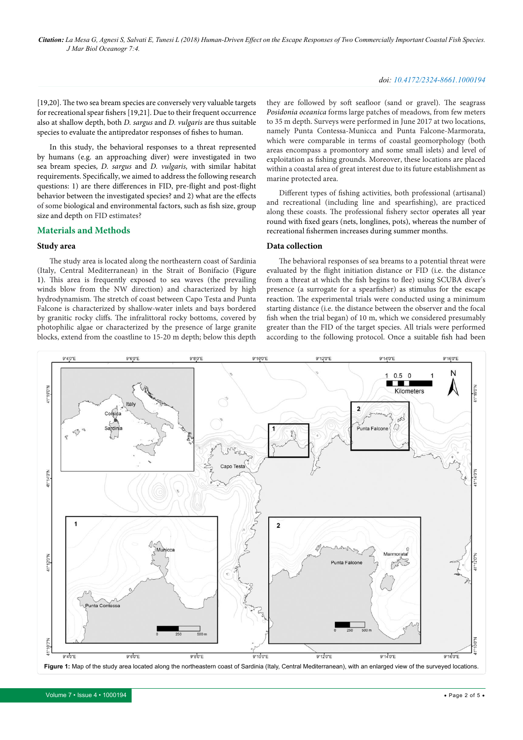#### *doi: 10.4172/2324-8661.1000194*

[19,20]. The two sea bream species are conversely very valuable targets for recreational spear fishers [19,21]. Due to their frequent occurrence also at shallow depth, both *D. sargus* and *D. vulgaris* are thus suitable species to evaluate the antipredator responses of fishes to human.

In this study, the behavioral responses to a threat represented by humans (e.g. an approaching diver) were investigated in two sea bream species, *D. sargus* and *D. vulgaris,* with similar habitat requirements. Specifically, we aimed to address the following research questions: 1) are there differences in FID, pre-flight and post-flight behavior between the investigated species? and 2) what are the effects of some biological and environmental factors, such as fish size, group size and depth on FID estimates?

#### **Materials and Methods**

#### **Study area**

The study area is located along the northeastern coast of Sardinia (Italy, Central Mediterranean) in the Strait of Bonifacio (Figure 1). This area is frequently exposed to sea waves (the prevailing winds blow from the NW direction) and characterized by high hydrodynamism. The stretch of coast between Capo Testa and Punta Falcone is characterized by shallow-water inlets and bays bordered by granitic rocky cliffs. The infralittoral rocky bottoms, covered by photophilic algae or characterized by the presence of large granite blocks, extend from the coastline to 15-20 m depth; below this depth

they are followed by soft seafloor (sand or gravel). The seagrass *Posidonia oceanica* forms large patches of meadows, from few meters to 35 m depth. Surveys were performed in June 2017 at two locations, namely Punta Contessa-Municca and Punta Falcone-Marmorata, which were comparable in terms of coastal geomorphology (both areas encompass a promontory and some small islets) and level of exploitation as fishing grounds. Moreover, these locations are placed within a coastal area of great interest due to its future establishment as marine protected area.

Different types of fishing activities, both professional (artisanal) and recreational (including line and spearfishing), are practiced along these coasts. The professional fishery sector operates all year round with fixed gears (nets, longlines, pots), whereas the number of recreational fishermen increases during summer months.

#### **Data collection**

The behavioral responses of sea breams to a potential threat were evaluated by the flight initiation distance or FID (i.e. the distance from a threat at which the fish begins to flee) using SCUBA diver's presence (a surrogate for a spearfisher) as stimulus for the escape reaction. The experimental trials were conducted using a minimum starting distance (i.e. the distance between the observer and the focal fish when the trial began) of 10 m, which we considered presumably greater than the FID of the target species. All trials were performed according to the following protocol. Once a suitable fish had been



Volume 7 • Issue 4 • 1000194 • Page 2 of 5 •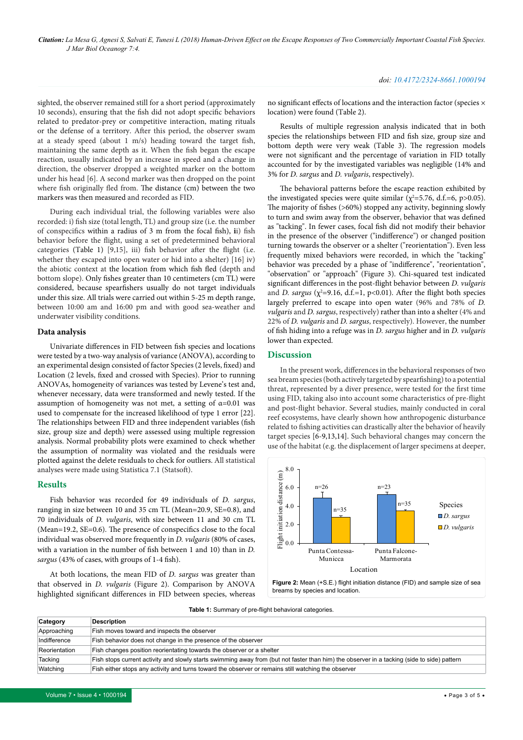sighted, the observer remained still for a short period (approximately 10 seconds), ensuring that the fish did not adopt specific behaviors related to predator-prey or competitive interaction, mating rituals or the defense of a territory. After this period, the observer swam at a steady speed (about 1 m/s) heading toward the target fish, maintaining the same depth as it. When the fish began the escape reaction, usually indicated by an increase in speed and a change in direction, the observer dropped a weighted marker on the bottom under his head [6]. A second marker was then dropped on the point where fish originally fled from. The distance (cm) between the two markers was then measured and recorded as FID.

During each individual trial, the following variables were also recorded: i) fish size (total length, TL) and group size (i.e. the number of conspecifics within a radius of 3 m from the focal fish), **i**i) fish behavior before the flight, using a set of predetermined behavioral categories (Table 1) [9,15], iii) fish behavior after the flight (i.e. whether they escaped into open water or hid into a shelter) [16] iv) the abiotic context at the location from which fish fled (depth and bottom slope). Only fishes greater than 10 centimeters (cm TL) were considered, because spearfishers usually do not target individuals under this size. All trials were carried out within 5-25 m depth range, between 10:00 am and 16:00 pm and with good sea-weather and underwater visibility conditions.

#### **Data analysis**

Univariate differences in FID between fish species and locations were tested by a two-way analysis of variance (ANOVA), according to an experimental design consisted of factor Species (2 levels, fixed) and Location (2 levels, fixed and crossed with Species). Prior to running ANOVAs, homogeneity of variances was tested by Levene's test and, whenever necessary, data were transformed and newly tested. If the assumption of homogeneity was not met, a setting of  $\alpha$ =0.01 was used to compensate for the increased likelihood of type 1 error [22]. The relationships between FID and three independent variables (fish size, group size and depth) were assessed using multiple regression analysis. Normal probability plots were examined to check whether the assumption of normality was violated and the residuals were plotted against the delete residuals to check for outliers. All statistical analyses were made using Statistica 7.1 (Statsoft).

#### **Results**

Fish behavior was recorded for 49 individuals of *D. sargus*, ranging in size between 10 and 35 cm TL (Mean=20.9, SE=0.8), and 70 individuals of *D. vulgaris*, with size between 11 and 30 cm TL (Mean=19.2, SE=0.6). The presence of conspecifics close to the focal individual was observed more frequently in *D. vulgaris* (80% of cases, with a variation in the number of fish between 1 and 10) than in *D. sargus* (43% of cases, with groups of 1-4 fish).

At both locations, the mean FID of *D. sargus* was greater than that observed in *D. vulgaris* (Figure 2). Comparison by ANOVA highlighted significant differences in FID between species, whereas

no significant effects of locations and the interaction factor (species  $\times$ location) were found (Table 2).

Results of multiple regression analysis indicated that in both species the relationships between FID and fish size, group size and bottom depth were very weak (Table 3). The regression models were not significant and the percentage of variation in FID totally accounted for by the investigated variables was negligible (14% and 3% for *D. sargus* and *D. vulgaris*, respectively).

The behavioral patterns before the escape reaction exhibited by the investigated species were quite similar ( $\chi^2$ =5.76, d.f.=6, p>0.05). The majority of fishes (>60%) stopped any activity, beginning slowly to turn and swim away from the observer, behavior that was defined as "tacking". In fewer cases, focal fish did not modify their behavior in the presence of the observer ("indifference") or changed position turning towards the observer or a shelter ("reorientation"). Even less frequently mixed behaviors were recorded, in which the "tacking" behavior was preceded by a phase of "indifference", "reorientation", "observation" or "approach" (Figure 3). Chi-squared test indicated significant differences in the post-flight behavior between *D. vulgaris* and *D. sargus* ( $\chi^2$ =9.16, d.f.=1, p<0.01). After the flight both species largely preferred to escape into open water (96% and 78% of *D. vulgaris* and *D. sargus*, respectively) rather than into a shelter (4% and 22% of *D. vulgaris* and *D. sargus*, respectively). However, the number of fish hiding into a refuge was in *D. sargus* higher and in *D. vulgaris* lower than expected.

#### **Discussion**

In the present work, differences in the behavioral responses of two sea bream species (both actively targeted by spearfishing) to a potential threat, represented by a diver presence, were tested for the first time using FID, taking also into account some characteristics of pre-flight and post-flight behavior. Several studies, mainly conducted in coral reef ecosystems, have clearly shown how anthropogenic disturbance related to fishing activities can drastically alter the behavior of heavily target species [6-9,13,14]. Such behavioral changes may concern the use of the habitat (e.g. the displacement of larger specimens at deeper,



**Table 1:** Summary of pre-flight behavioral categories.

| Category      | <b>Description</b>                                                                                                                          |
|---------------|---------------------------------------------------------------------------------------------------------------------------------------------|
| Approaching   | Fish moves toward and inspects the observer                                                                                                 |
| Indifference  | Fish behavior does not change in the presence of the observer                                                                               |
| Reorientation | Fish changes position reorientating towards the observer or a shelter                                                                       |
| Tacking       | Fish stops current activity and slowly starts swimming away from (but not faster than him) the observer in a tacking (side to side) pattern |
| Watching      | Fish either stops any activity and turns toward the observer or remains still watching the observer                                         |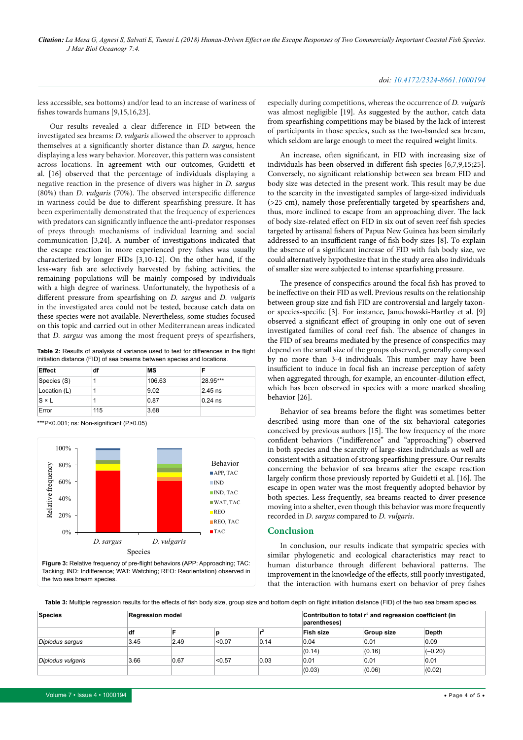#### *doi: 10.4172/2324-8661.1000194*

less accessible, sea bottoms) and/or lead to an increase of wariness of fishes towards humans [9,15,16,23].

Our results revealed a clear difference in FID between the investigated sea breams: *D. vulgaris* allowed the observer to approach themselves at a significantly shorter distance than *D. sargus*, hence displaying a less wary behavior. Moreover, this pattern was consistent across locations. In agreement with our outcomes, Guidetti et al. [16] observed that the percentage of individuals displaying a negative reaction in the presence of divers was higher in *D. sargus* (80%) than *D. vulgaris* (70%). The observed interspecific difference in wariness could be due to different spearfishing pressure. It has been experimentally demonstrated that the frequency of experiences with predators can significantly influence the anti-predator responses of preys through mechanisms of individual learning and social communication [3,24]. A number of investigations indicated that the escape reaction in more experienced prey fishes was usually characterized by longer FIDs [3,10-12]. On the other hand, if the less-wary fish are selectively harvested by fishing activities, the remaining populations will be mainly composed by individuals with a high degree of wariness. Unfortunately, the hypothesis of a different pressure from spearfishing on *D. sargus* and *D. vulgaris* in the investigated area could not be tested, because catch data on these species were not available. Nevertheless, some studies focused on this topic and carried out in other Mediterranean areas indicated that *D. sargus* was among the most frequent preys of spearfishers,

**Table 2:** Results of analysis of variance used to test for differences in the flight initiation distance (FID) of sea breams between species and locations.

| <b>Effect</b> | df  | МS     |           |  |
|---------------|-----|--------|-----------|--|
| Species (S)   |     | 106.63 | 28.95***  |  |
| Location (L)  |     | 9.02   | 2.45 ns   |  |
| $S \times L$  |     | 0.87   | $0.24$ ns |  |
| Error         | 115 | 3.68   |           |  |

\*\*\*P<0.001; ns: Non-significant (P>0.05)



**Figure 3:** Relative frequency of pre-flight behaviors (APP: Approaching; TAC: Tacking; IND: Indifference; WAT: Watching; REO: Reorientation) observed in the two sea bream species.

especially during competitions, whereas the occurrence of *D. vulgaris* was almost negligible [19]. As suggested by the author, catch data from spearfishing competitions may be biased by the lack of interest of participants in those species, such as the two-banded sea bream, which seldom are large enough to meet the required weight limits.

An increase, often significant, in FID with increasing size of individuals has been observed in different fish species [6,7,9,15;25]. Conversely, no significant relationship between sea bream FID and body size was detected in the present work. This result may be due to the scarcity in the investigated samples of large-sized individuals (>25 cm), namely those preferentially targeted by spearfishers and, thus, more inclined to escape from an approaching diver. The lack of body size-related effect on FID in six out of seven reef fish species targeted by artisanal fishers of Papua New Guinea has been similarly addressed to an insufficient range of fish body sizes [8]. To explain the absence of a significant increase of FID with fish body size, we could alternatively hypothesize that in the study area also individuals of smaller size were subjected to intense spearfishing pressure.

The presence of conspecifics around the focal fish has proved to be ineffective on their FID as well. Previous results on the relationship between group size and fish FID are controversial and largely taxonor species-specific [3]. For instance, Januchowski-Hartley et al. [9] observed a significant effect of grouping in only one out of seven investigated families of coral reef fish. The absence of changes in the FID of sea breams mediated by the presence of conspecifics may depend on the small size of the groups observed, generally composed by no more than 3-4 individuals. This number may have been insufficient to induce in focal fish an increase perception of safety when aggregated through, for example, an encounter-dilution effect, which has been observed in species with a more marked shoaling behavior [26].

Behavior of sea breams before the flight was sometimes better described using more than one of the six behavioral categories conceived by previous authors [15]. The low frequency of the more confident behaviors ("indifference" and "approaching") observed in both species and the scarcity of large-sizes individuals as well are consistent with a situation of strong spearfishing pressure. Our results concerning the behavior of sea breams after the escape reaction largely confirm those previously reported by Guidetti et al. [16]. The escape in open water was the most frequently adopted behavior by both species. Less frequently, sea breams reacted to diver presence moving into a shelter, even though this behavior was more frequently recorded in *D. sargus* compared to *D. vulgaris*.

#### **Conclusion**

In conclusion, our results indicate that sympatric species with similar phylogenetic and ecological characteristics may react to human disturbance through different behavioral patterns. The improvement in the knowledge of the effects, still poorly investigated, that the interaction with humans exert on behavior of prey fishes

Table 3: Multiple regression results for the effects of fish body size, group size and bottom depth on flight initiation distance (FID) of the two sea bream species.

| <b>Species</b>    | <b>Regression model</b> |      |        | Contribution to total r <sup>2</sup> and regression coefficient (in<br>parentheses) |           |                   |           |
|-------------------|-------------------------|------|--------|-------------------------------------------------------------------------------------|-----------|-------------------|-----------|
|                   | df                      |      |        |                                                                                     | Fish size | <b>Group size</b> | Depth     |
| Diplodus sargus   | 3.45                    | 2.49 | < 0.07 | 0.14                                                                                | 0.04      | 0.01              | 0.09      |
|                   |                         |      |        |                                                                                     | (0.14)    | (0.16)            | $(-0.20)$ |
| Diplodus vulgaris | 3.66                    | 0.67 | < 0.57 | 0.03                                                                                | 0.01      | 0.01              | 0.01      |
|                   |                         |      |        |                                                                                     | (0.03)    | (0.06)            | (0.02)    |